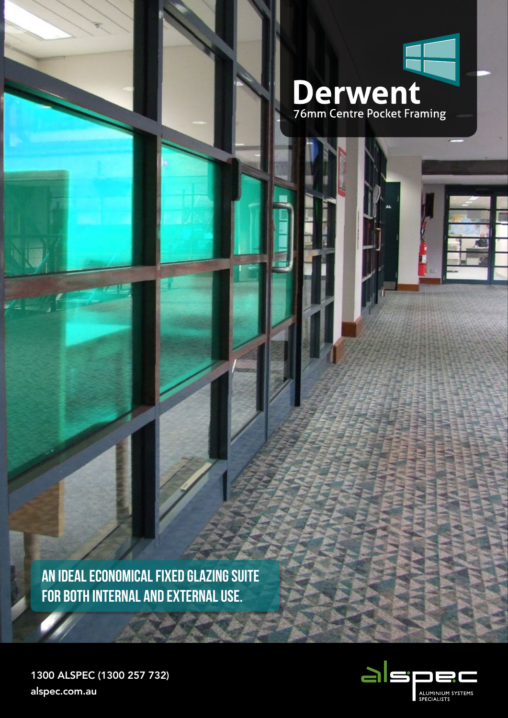

**AN IDEAL ECONOMICAL FIXED GLAZING SUITE FOR BOTH INTERNAL AND EXTERNAL USE.**



1300 ALSPEC (1300 257 732) alspec.com.au